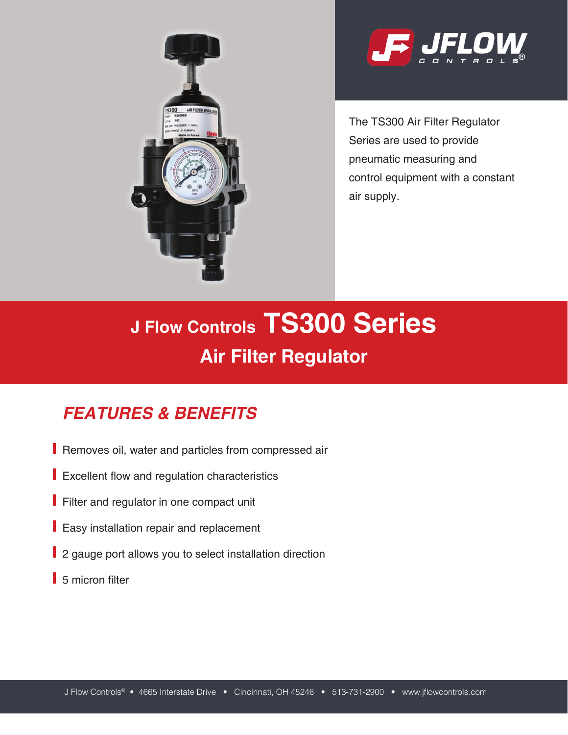



The TS300 Air Filter Regulator Series are used to provide pneumatic measuring and control equipment with a constant air supply.

# **J Flow Controls TS300 Series Air Filter Regulator**

# *FEATURES & BENEFITS*

- Removes oil, water and particles from compressed air
- Excellent flow and regulation characteristics
- Filter and regulator in one compact unit
- **Easy installation repair and replacement**
- 2 gauge port allows you to select installation direction
- 5 micron filter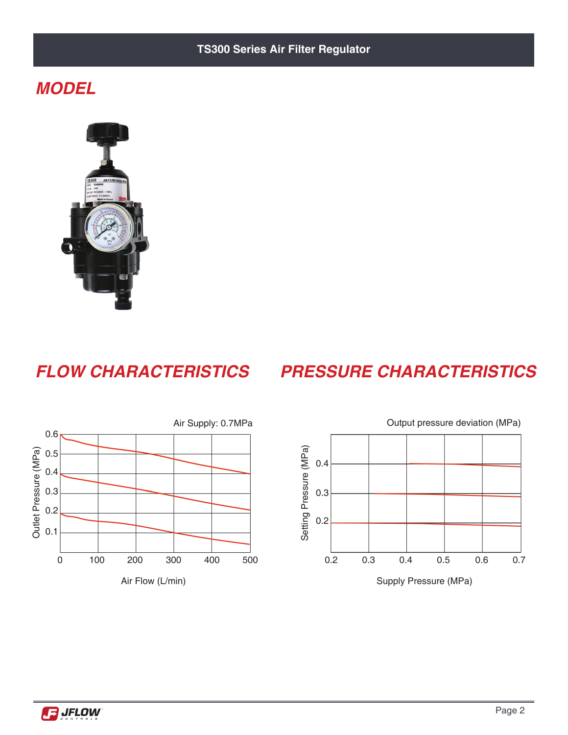#### **TS300 Series Air Filter Regulator**

#### *MODEL*



### *FLOW CHARACTERISTICS PRESSURE CHARACTERISTICS*





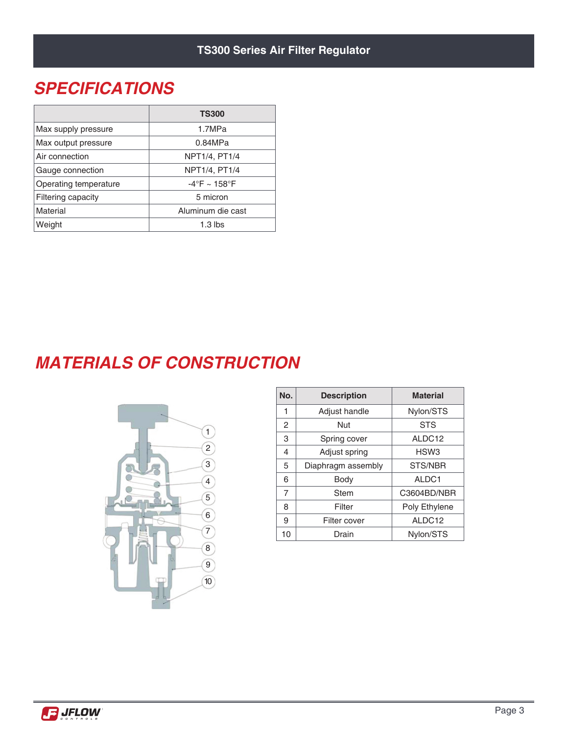### *SPECIFICATIONS*

|                       | <b>TS300</b>      |  |  |
|-----------------------|-------------------|--|--|
| Max supply pressure   | 1.7MPa            |  |  |
| Max output pressure   | 0.84MPa           |  |  |
| Air connection        | NPT1/4, PT1/4     |  |  |
| Gauge connection      | NPT1/4, PT1/4     |  |  |
| Operating temperature | $-4$ °F ~ 158°F   |  |  |
| Filtering capacity    | 5 micron          |  |  |
| Material              | Aluminum die cast |  |  |
| Weight                | $1.3$ lbs         |  |  |

# *MATERIALS OF CONSTRUCTION*



| No. | <b>Description</b> | <b>Material</b>  |  |
|-----|--------------------|------------------|--|
| 1   | Adjust handle      | Nylon/STS        |  |
| 2   | Nut                | <b>STS</b>       |  |
| 3   | Spring cover       | ALDC12           |  |
| 4   | Adjust spring      | HSW <sub>3</sub> |  |
| 5   | Diaphragm assembly | STS/NBR          |  |
| 6   | Body               | ALDC1            |  |
| 7   | <b>Stem</b>        | C3604BD/NBR      |  |
| 8   | Filter             | Poly Ethylene    |  |
| 9   | Filter cover       | ALDC12           |  |
| 10  | Drain              | Nylon/STS        |  |